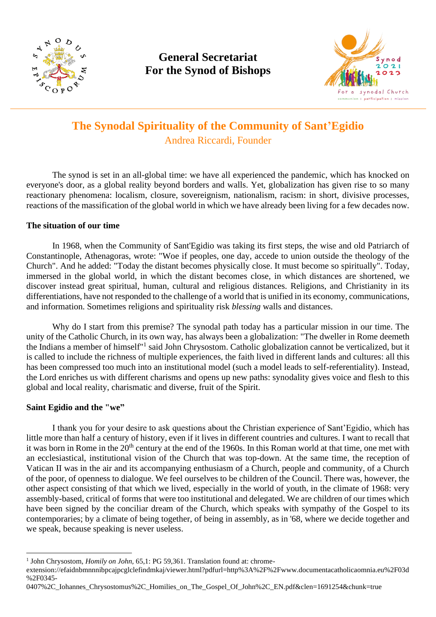

# **General Secretariat For the Synod of Bishops**



# **The Synodal Spirituality of the Community of Sant'Egidio** Andrea Riccardi, Founder

The synod is set in an all-global time: we have all experienced the pandemic, which has knocked on everyone's door, as a global reality beyond borders and walls. Yet, globalization has given rise to so many reactionary phenomena: localism, closure, sovereignism, nationalism, racism: in short, divisive processes, reactions of the massification of the global world in which we have already been living for a few decades now.

## **The situation of our time**

In 1968, when the Community of Sant'Egidio was taking its first steps, the wise and old Patriarch of Constantinople, Athenagoras, wrote: "Woe if peoples, one day, accede to union outside the theology of the Church". And he added: "Today the distant becomes physically close. It must become so spiritually". Today, immersed in the global world, in which the distant becomes close, in which distances are shortened, we discover instead great spiritual, human, cultural and religious distances. Religions, and Christianity in its differentiations, have not responded to the challenge of a world that is unified in its economy, communications, and information. Sometimes religions and spirituality risk *blessing* walls and distances.

Why do I start from this premise? The synodal path today has a particular mission in our time. The unity of the Catholic Church, in its own way, has always been a globalization: "The dweller in Rome deemeth the Indians a member of himself"<sup>1</sup> said John Chrysostom. Catholic globalization cannot be verticalized, but it is called to include the richness of multiple experiences, the faith lived in different lands and cultures: all this has been compressed too much into an institutional model (such a model leads to self-referentiality). Instead, the Lord enriches us with different charisms and opens up new paths: synodality gives voice and flesh to this global and local reality, charismatic and diverse, fruit of the Spirit.

## **Saint Egidio and the "we"**

I thank you for your desire to ask questions about the Christian experience of Sant'Egidio, which has little more than half a century of history, even if it lives in different countries and cultures. I want to recall that it was born in Rome in the 20<sup>th</sup> century at the end of the 1960s. In this Roman world at that time, one met with an ecclesiastical, institutional vision of the Church that was top-down. At the same time, the reception of Vatican II was in the air and its accompanying enthusiasm of a Church, people and community, of a Church of the poor, of openness to dialogue. We feel ourselves to be children of the Council. There was, however, the other aspect consisting of that which we lived, especially in the world of youth, in the climate of 1968: very assembly-based, critical of forms that were too institutional and delegated. We are children of our times which have been signed by the conciliar dream of the Church, which speaks with sympathy of the Gospel to its contemporaries; by a climate of being together, of being in assembly, as in '68, where we decide together and we speak, because speaking is never useless.

0407%2C\_Iohannes\_Chrysostomus%2C\_Homilies\_on\_The\_Gospel\_Of\_John%2C\_EN.pdf&clen=1691254&chunk=true

<sup>&</sup>lt;sup>1</sup> John Chrysostom, *Homily on John*, 65,1: PG 59,361. Translation found at: chrome-

extension://efaidnbmnnnibpcajpcglclefindmkaj/viewer.html?pdfurl=http%3A%2F%2Fwww.documentacatholicaomnia.eu%2F03d %2F0345-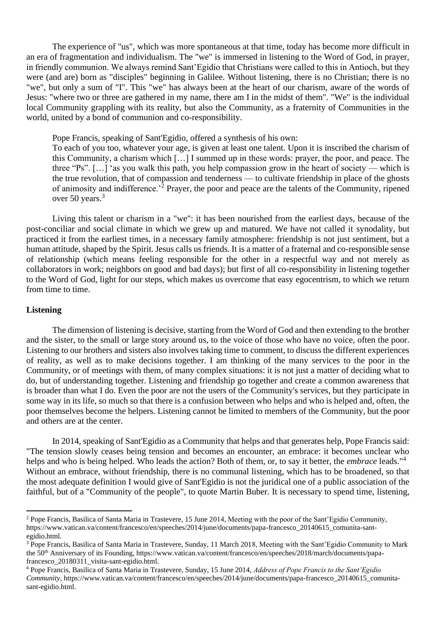The experience of "us", which was more spontaneous at that time, today has become more difficult in an era of fragmentation and individualism. The "we" is immersed in listening to the Word of God, in prayer, in friendly communion. We always remind Sant'Egidio that Christians were called to this in Antioch, but they were (and are) born as "disciples" beginning in Galilee. Without listening, there is no Christian; there is no "we", but only a sum of "I". This "we" has always been at the heart of our charism, aware of the words of Jesus: "where two or three are gathered in my name, there am I in the midst of them". "We" is the individual local Community grappling with its reality, but also the Community, as a fraternity of Communities in the world, united by a bond of communion and co-responsibility.

Pope Francis, speaking of Sant'Egidio, offered a synthesis of his own:

To each of you too, whatever your age, is given at least one talent. Upon it is inscribed the charism of this Community, a charism which […] I summed up in these words: prayer, the poor, and peace. The three "Ps". […] 'as you walk this path, you help compassion grow in the heart of society — which is the true revolution, that of compassion and tenderness — to cultivate friendship in place of the ghosts of animosity and indifference.<sup> $2$ </sup> Prayer, the poor and peace are the talents of the Community, ripened over 50 years.<sup>3</sup>

Living this talent or charism in a "we": it has been nourished from the earliest days, because of the post-conciliar and social climate in which we grew up and matured. We have not called it synodality, but practiced it from the earliest times, in a necessary family atmosphere: friendship is not just sentiment, but a human attitude, shaped by the Spirit. Jesus calls us friends. It is a matter of a fraternal and co-responsible sense of relationship (which means feeling responsible for the other in a respectful way and not merely as collaborators in work; neighbors on good and bad days); but first of all co-responsibility in listening together to the Word of God, light for our steps, which makes us overcome that easy egocentrism, to which we return from time to time.

#### **Listening**

The dimension of listening is decisive, starting from the Word of God and then extending to the brother and the sister, to the small or large story around us, to the voice of those who have no voice, often the poor. Listening to our brothers and sisters also involves taking time to comment, to discuss the different experiences of reality, as well as to make decisions together. I am thinking of the many services to the poor in the Community, or of meetings with them, of many complex situations: it is not just a matter of deciding what to do, but of understanding together. Listening and friendship go together and create a common awareness that is broader than what I do. Even the poor are not the users of the Community's services, but they participate in some way in its life, so much so that there is a confusion between who helps and who is helped and, often, the poor themselves become the helpers. Listening cannot be limited to members of the Community, but the poor and others are at the center.

In 2014, speaking of Sant'Egidio as a Community that helps and that generates help, Pope Francis said: "The tension slowly ceases being tension and becomes an encounter, an embrace: it becomes unclear who helps and who is being helped. Who leads the action? Both of them, or, to say it better, the *embrace* leads."<sup>4</sup> Without an embrace, without friendship, there is no communal listening, which has to be broadened, so that the most adequate definition I would give of Sant'Egidio is not the juridical one of a public association of the faithful, but of a "Community of the people", to quote Martin Buber. It is necessary to spend time, listening,

<sup>&</sup>lt;sup>2</sup> Pope Francis, Basilica of Santa Maria in Trastevere, 15 June 2014, Meeting with the poor of the Sant'Egidio Community, https://www.vatican.va/content/francesco/en/speeches/2014/june/documents/papa-francesco\_20140615\_comunita-santegidio.html.

<sup>&</sup>lt;sup>3</sup> Pope Francis, Basilica of Santa Maria in Trastevere, Sunday, 11 March 2018, Meeting with the Sant'Egidio Community to Mark the 50<sup>th</sup> Anniversary of its Founding, https://www.vatican.va/content/francesco/en/speeches/2018/march/documents/papafrancesco\_20180311\_visita-sant-egidio.html.

<sup>4</sup> Pope Francis, Basilica of Santa Maria in Trastevere, Sunday, 15 June 2014, *Address of Pope Francis to the Sant'Egidio Community*, https://www.vatican.va/content/francesco/en/speeches/2014/june/documents/papa-francesco\_20140615\_comunitasant-egidio.html.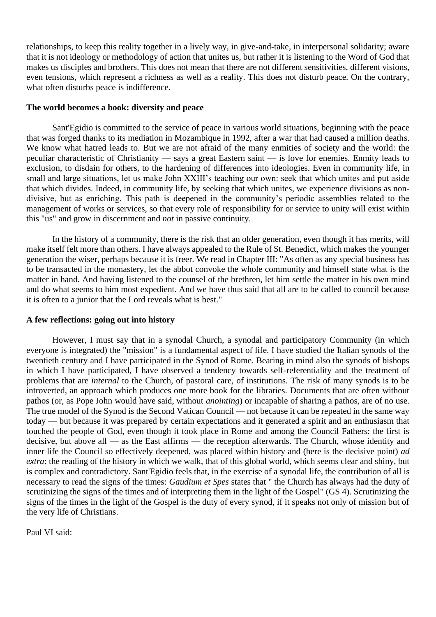relationships, to keep this reality together in a lively way, in give-and-take, in interpersonal solidarity; aware that it is not ideology or methodology of action that unites us, but rather it is listening to the Word of God that makes us disciples and brothers. This does not mean that there are not different sensitivities, different visions, even tensions, which represent a richness as well as a reality. This does not disturb peace. On the contrary, what often disturbs peace is indifference.

#### **The world becomes a book: diversity and peace**

Sant'Egidio is committed to the service of peace in various world situations, beginning with the peace that was forged thanks to its mediation in Mozambique in 1992, after a war that had caused a million deaths. We know what hatred leads to. But we are not afraid of the many enmities of society and the world: the peculiar characteristic of Christianity — says a great Eastern saint — is love for enemies. Enmity leads to exclusion, to disdain for others, to the hardening of differences into ideologies. Even in community life, in small and large situations, let us make John XXIII's teaching our own: seek that which unites and put aside that which divides. Indeed, in community life, by seeking that which unites, we experience divisions as nondivisive, but as enriching. This path is deepened in the community's periodic assemblies related to the management of works or services, so that every role of responsibility for or service to unity will exist within this "us" and grow in discernment and *not* in passive continuity.

In the history of a community, there is the risk that an older generation, even though it has merits, will make itself felt more than others. I have always appealed to the Rule of St. Benedict, which makes the younger generation the wiser, perhaps because it is freer. We read in Chapter III: "As often as any special business has to be transacted in the monastery, let the abbot convoke the whole community and himself state what is the matter in hand. And having listened to the counsel of the brethren, let him settle the matter in his own mind and do what seems to him most expedient. And we have thus said that all are to be called to council because it is often to a junior that the Lord reveals what is best."

### **A few reflections: going out into history**

However, I must say that in a synodal Church, a synodal and participatory Community (in which everyone is integrated) the "mission" is a fundamental aspect of life. I have studied the Italian synods of the twentieth century and I have participated in the Synod of Rome. Bearing in mind also the synods of bishops in which I have participated, I have observed a tendency towards self-referentiality and the treatment of problems that are *internal* to the Church, of pastoral care, of institutions. The risk of many synods is to be introverted, an approach which produces one more book for the libraries. Documents that are often without pathos (or, as Pope John would have said, without *anointing*) or incapable of sharing a pathos, are of no use. The true model of the Synod is the Second Vatican Council — not because it can be repeated in the same way today — but because it was prepared by certain expectations and it generated a spirit and an enthusiasm that touched the people of God, even though it took place in Rome and among the Council Fathers: the first is decisive, but above all — as the East affirms — the reception afterwards. The Church, whose identity and inner life the Council so effectively deepened, was placed within history and (here is the decisive point) *ad extra*: the reading of the history in which we walk, that of this global world, which seems clear and shiny, but is complex and contradictory. Sant'Egidio feels that, in the exercise of a synodal life, the contribution of all is necessary to read the signs of the times: *Gaudium et Spes* states that " the Church has always had the duty of scrutinizing the signs of the times and of interpreting them in the light of the Gospel" (GS 4). Scrutinizing the signs of the times in the light of the Gospel is the duty of every synod, if it speaks not only of mission but of the very life of Christians.

Paul VI said: